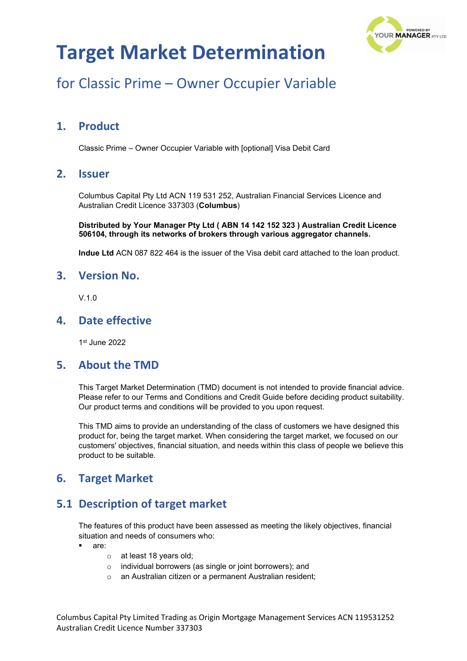

# for Classic Prime – Owner Occupier Variable

### **1. Product**

Classic Prime – Owner Occupier Variable with [optional] Visa Debit Card

#### **2. Issuer**

Columbus Capital Pty Ltd ACN 119 531 252, Australian Financial Services Licence and Australian Credit Licence 337303 (**Columbus**)

**Distributed by Your Manager Pty Ltd ( ABN 14 142 152 323 ) Australian Credit Licence 506104, through its networks of brokers through various aggregator channels.**

**Indue Ltd** ACN 087 822 464 is the issuer of the Visa debit card attached to the loan product.

#### **3. Version No.**

 $V<sub>10</sub>$ 

### **4. Date effective**

1st June 2022

#### **5. About the TMD**

This Target Market Determination (TMD) document is not intended to provide financial advice. Please refer to our Terms and Conditions and Credit Guide before deciding product suitability. Our product terms and conditions will be provided to you upon request.

This TMD aims to provide an understanding of the class of customers we have designed this product for, being the target market. When considering the target market, we focused on our customers' objectives, financial situation, and needs within this class of people we believe this product to be suitable.

## **6. Target Market**

## **5.1 Description of target market**

The features of this product have been assessed as meeting the likely objectives, financial situation and needs of consumers who:

- are:
	- o at least 18 years old;
	- o individual borrowers (as single or joint borrowers); and
	- o an Australian citizen or a permanent Australian resident;

Columbus Capital Pty Limited Trading as Origin Mortgage Management Services ACN 119531252 Australian Credit Licence Number 337303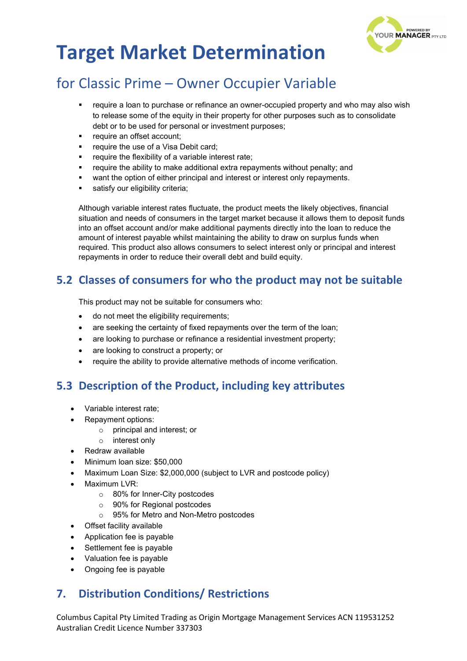

# for Classic Prime – Owner Occupier Variable

- require a loan to purchase or refinance an owner-occupied property and who may also wish to release some of the equity in their property for other purposes such as to consolidate debt or to be used for personal or investment purposes;
- require an offset account;
- require the use of a Visa Debit card;
- require the flexibility of a variable interest rate;
- require the ability to make additional extra repayments without penalty; and
- want the option of either principal and interest or interest only repayments.
- satisfy our eligibility criteria:

Although variable interest rates fluctuate, the product meets the likely objectives, financial situation and needs of consumers in the target market because it allows them to deposit funds into an offset account and/or make additional payments directly into the loan to reduce the amount of interest payable whilst maintaining the ability to draw on surplus funds when required. This product also allows consumers to select interest only or principal and interest repayments in order to reduce their overall debt and build equity.

### **5.2 Classes of consumers for who the product may not be suitable**

This product may not be suitable for consumers who:

- do not meet the eligibility requirements;
- are seeking the certainty of fixed repayments over the term of the loan;
- are looking to purchase or refinance a residential investment property;
- are looking to construct a property; or
- require the ability to provide alternative methods of income verification.

### **5.3 Description of the Product, including key attributes**

- Variable interest rate;
- Repayment options:
	- o principal and interest; or
	- o interest only
- Redraw available
- Minimum loan size: \$50,000
- Maximum Loan Size: \$2,000,000 (subject to LVR and postcode policy)
- Maximum LVR:
	- o 80% for Inner-City postcodes
	- o 90% for Regional postcodes
	- o 95% for Metro and Non-Metro postcodes
- Offset facility available
- Application fee is payable
- Settlement fee is payable
- Valuation fee is payable
- Ongoing fee is payable

## **7. Distribution Conditions/ Restrictions**

Columbus Capital Pty Limited Trading as Origin Mortgage Management Services ACN 119531252 Australian Credit Licence Number 337303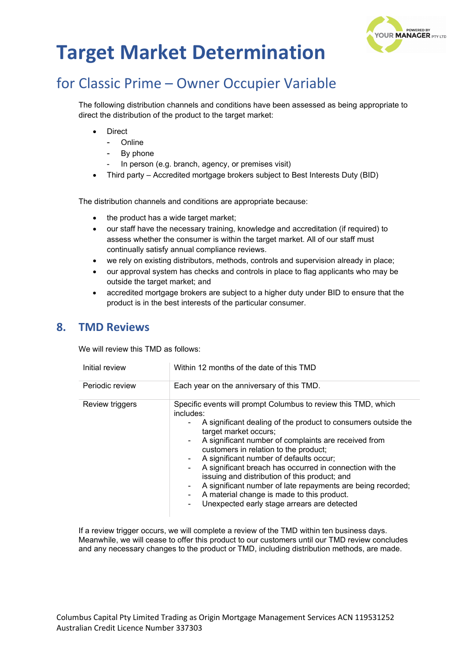

# for Classic Prime – Owner Occupier Variable

The following distribution channels and conditions have been assessed as being appropriate to direct the distribution of the product to the target market:

- **Direct** 
	- Online
	- By phone
	- In person (e.g. branch, agency, or premises visit)
- Third party Accredited mortgage brokers subject to Best Interests Duty (BID)

The distribution channels and conditions are appropriate because:

- the product has a wide target market;
- our staff have the necessary training, knowledge and accreditation (if required) to assess whether the consumer is within the target market. All of our staff must continually satisfy annual compliance reviews.
- we rely on existing distributors, methods, controls and supervision already in place;
- our approval system has checks and controls in place to flag applicants who may be outside the target market; and
- accredited mortgage brokers are subject to a higher duty under BID to ensure that the product is in the best interests of the particular consumer.

#### **8. TMD Reviews**

We will review this TMD as follows:

| Initial review  | Within 12 months of the date of this TMD                                                                                                                                                                                                                                                                                                                                                                                                                                                                                                                                                                          |  |
|-----------------|-------------------------------------------------------------------------------------------------------------------------------------------------------------------------------------------------------------------------------------------------------------------------------------------------------------------------------------------------------------------------------------------------------------------------------------------------------------------------------------------------------------------------------------------------------------------------------------------------------------------|--|
| Periodic review | Each year on the anniversary of this TMD.                                                                                                                                                                                                                                                                                                                                                                                                                                                                                                                                                                         |  |
| Review triggers | Specific events will prompt Columbus to review this TMD, which<br>includes:<br>A significant dealing of the product to consumers outside the<br>target market occurs;<br>A significant number of complaints are received from<br>customers in relation to the product;<br>A significant number of defaults occur;<br>$\blacksquare$<br>A significant breach has occurred in connection with the<br>issuing and distribution of this product; and<br>A significant number of late repayments are being recorded;<br>۰<br>A material change is made to this product.<br>Unexpected early stage arrears are detected |  |

If a review trigger occurs, we will complete a review of the TMD within ten business days. Meanwhile, we will cease to offer this product to our customers until our TMD review concludes and any necessary changes to the product or TMD, including distribution methods, are made.